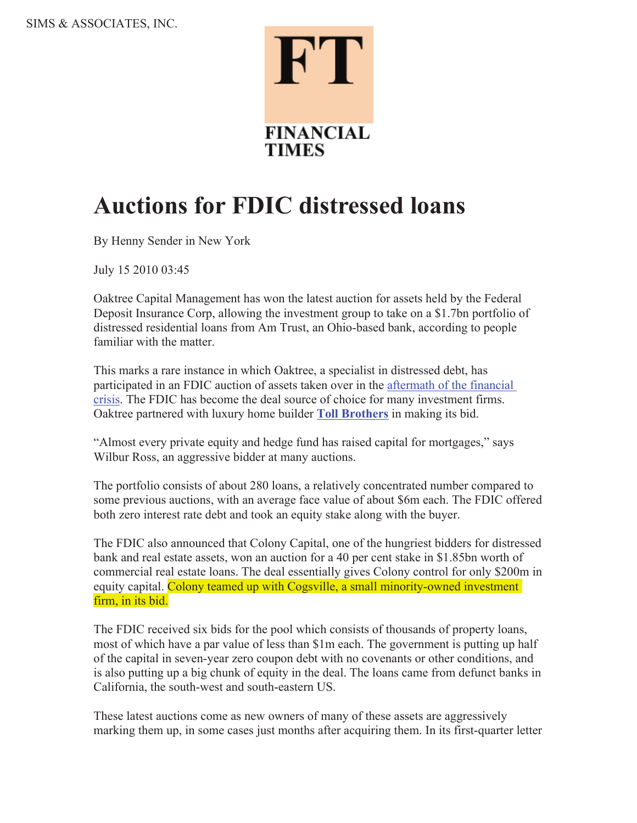

## **Auctions for FDIC distressed loans**

By Henny Sender in New York

July 15 2010 03:45

Oaktree Capital Management has won the latest auction for assets held by the Federal Deposit Insurance Corp, allowing the investment group to take on a \$1.7bn portfolio of distressed residential loans from Am Trust, an Ohio-based bank, according to people familiar with the matter.

This marks a rare instance in which Oaktree, a specialist in distressed debt, has participated in an FDIC auction of assets taken over in the aftermath of the financial crisis. The FDIC has become the deal source of choice for many investment firms. Oaktree partnered with luxury home builder **Toll Brothers** in making its bid.

"Almost every private equity and hedge fund has raised capital for mortgages," says Wilbur Ross, an aggressive bidder at many auctions.

The portfolio consists of about 280 loans, a relatively concentrated number compared to some previous auctions, with an average face value of about \$6m each. The FDIC offered both zero interest rate debt and took an equity stake along with the buyer.

The FDIC also announced that Colony Capital, one of the hungriest bidders for distressed bank and real estate assets, won an auction for a 40 per cent stake in \$1.85bn worth of commercial real estate loans. The deal essentially gives Colony control for only \$200m in equity capital. Colony teamed up with Cogsville, a small minority-owned investment firm, in its bid.

The FDIC received six bids for the pool which consists of thousands of property loans, most of which have a par value of less than \$1m each. The government is putting up half of the capital in seven-year zero coupon debt with no covenants or other conditions, and is also putting up a big chunk of equity in the deal. The loans came from defunct banks in California, the south-west and south-eastern US.

These latest auctions come as new owners of many of these assets are aggressively marking them up, in some cases just months after acquiring them. In its first-quarter letter